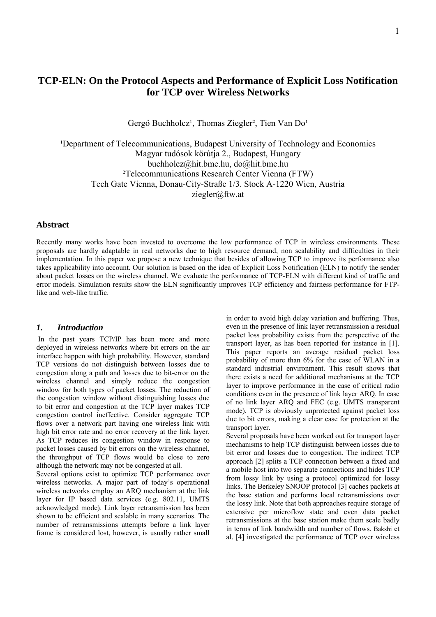# **TCP-ELN: On the Protocol Aspects and Performance of Explicit Loss Notification for TCP over Wireless Networks**

Gergő Buchholcz<sup>1</sup>, Thomas Ziegler<sup>2</sup>, Tien Van Do<sup>1</sup>

<sup>1</sup>Department of Telecommunications, Budapest University of Technology and Economics Magyar tudósok körútja 2., Budapest, Hungary buchholcz@hit.bme.hu, do@hit.bme.hu ²Telecommunications Research Center Vienna (FTW) Tech Gate Vienna, Donau-City-Straße 1/3. Stock A-1220 Wien, Austria ziegler@ftw.at

### **Abstract**

Recently many works have been invested to overcome the low performance of TCP in wireless environments. These proposals are hardly adaptable in real networks due to high resource demand, non scalability and difficulties in their implementation. In this paper we propose a new technique that besides of allowing TCP to improve its performance also takes applicability into account. Our solution is based on the idea of Explicit Loss Notification (ELN) to notify the sender about packet losses on the wireless channel. We evaluate the performance of TCP-ELN with different kind of traffic and error models. Simulation results show the ELN significantly improves TCP efficiency and fairness performance for FTPlike and web-like traffic.

### *1. Introduction*

 In the past years TCP/IP has been more and more deployed in wireless networks where bit errors on the air interface happen with high probability. However, standard TCP versions do not distinguish between losses due to congestion along a path and losses due to bit-error on the wireless channel and simply reduce the congestion window for both types of packet losses. The reduction of the congestion window without distinguishing losses due to bit error and congestion at the TCP layer makes TCP congestion control ineffective. Consider aggregate TCP flows over a network part having one wireless link with high bit error rate and no error recovery at the link layer. As TCP reduces its congestion window in response to packet losses caused by bit errors on the wireless channel, the throughput of TCP flows would be close to zero although the network may not be congested at all.

Several options exist to optimize TCP performance over wireless networks. A major part of today's operational wireless networks employ an ARQ mechanism at the link layer for IP based data services (e.g. 802.11, UMTS acknowledged mode). Link layer retransmission has been shown to be efficient and scalable in many scenarios. The number of retransmissions attempts before a link layer frame is considered lost, however, is usually rather small

in order to avoid high delay variation and buffering. Thus, even in the presence of link layer retransmission a residual packet loss probability exists from the perspective of the transport layer, as has been reported for instance in [1]. This paper reports an average residual packet loss probability of more than 6% for the case of WLAN in a standard industrial environment. This result shows that there exists a need for additional mechanisms at the TCP layer to improve performance in the case of critical radio conditions even in the presence of link layer ARQ. In case of no link layer ARQ and FEC (e.g. UMTS transparent mode), TCP is obviously unprotected against packet loss due to bit errors, making a clear case for protection at the transport layer.

Several proposals have been worked out for transport layer mechanisms to help TCP distinguish between losses due to bit error and losses due to congestion. The indirect TCP approach [2] splits a TCP connection between a fixed and a mobile host into two separate connections and hides TCP from lossy link by using a protocol optimized for lossy links. The Berkeley SNOOP protocol [3] caches packets at the base station and performs local retransmissions over the lossy link. Note that both approaches require storage of extensive per microflow state and even data packet retransmissions at the base station make them scale badly in terms of link bandwidth and number of flows. Bakshi et al. [4] investigated the performance of TCP over wireless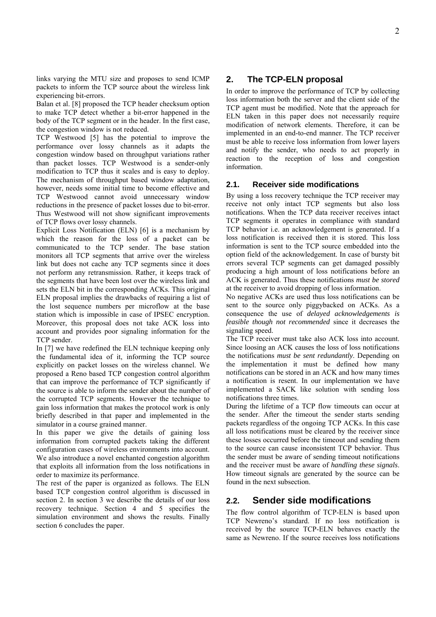links varying the MTU size and proposes to send ICMP packets to inform the TCP source about the wireless link experiencing bit-errors.

Balan et al. [8] proposed the TCP header checksum option to make TCP detect whether a bit-error happened in the body of the TCP segment or in the header. In the first case, the congestion window is not reduced.

TCP Westwood [5] has the potential to improve the performance over lossy channels as it adapts the congestion window based on throughput variations rather than packet losses. TCP Westwood is a sender-only modification to TCP thus it scales and is easy to deploy. The mechanism of throughput based window adaptation, however, needs some initial time to become effective and TCP Westwood cannot avoid unnecessary window reductions in the presence of packet losses due to bit-error. Thus Westwood will not show significant improvements of TCP flows over lossy channels.

Explicit Loss Notification (ELN) [6] is a mechanism by which the reason for the loss of a packet can be communicated to the TCP sender. The base station monitors all TCP segments that arrive over the wireless link but does not cache any TCP segments since it does not perform any retransmission. Rather, it keeps track of the segments that have been lost over the wireless link and sets the ELN bit in the corresponding ACKs. This original ELN proposal implies the drawbacks of requiring a list of the lost sequence numbers per microflow at the base station which is impossible in case of IPSEC encryption. Moreover, this proposal does not take ACK loss into account and provides poor signaling information for the TCP sender.

In [7] we have redefined the ELN technique keeping only the fundamental idea of it, informing the TCP source explicitly on packet losses on the wireless channel. We proposed a Reno based TCP congestion control algorithm that can improve the performance of TCP significantly if the source is able to inform the sender about the number of the corrupted TCP segments. However the technique to gain loss information that makes the protocol work is only briefly described in that paper and implemented in the simulator in a course grained manner.

In this paper we give the details of gaining loss information from corrupted packets taking the different configuration cases of wireless environments into account. We also introduce a novel enchanted congestion algorithm that exploits all information from the loss notifications in order to maximize its performance.

The rest of the paper is organized as follows. The ELN based TCP congestion control algorithm is discussed in section 2. In section 3 we describe the details of our loss recovery technique. Section 4 and 5 specifies the simulation environment and shows the results. Finally section 6 concludes the paper.

## **2. The TCP-ELN proposal**

In order to improve the performance of TCP by collecting loss information both the server and the client side of the TCP agent must be modified. Note that the approach for ELN taken in this paper does not necessarily require modification of network elements. Therefore, it can be implemented in an end-to-end manner. The TCP receiver must be able to receive loss information from lower layers and notify the sender, who needs to act properly in reaction to the reception of loss and congestion information.

### **2.1. Receiver side modifications**

By using a loss recovery technique the TCP receiver may receive not only intact TCP segments but also loss notifications. When the TCP data receiver receives intact TCP segments it operates in compliance with standard TCP behavior i.e. an acknowledgement is generated. If a loss notification is received then it is stored. This loss information is sent to the TCP source embedded into the option field of the acknowledgement. In case of bursty bit errors several TCP segments can get damaged possibly producing a high amount of loss notifications before an ACK is generated. Thus these notifications *must be stored* at the receiver to avoid dropping of loss information.

No negative ACKs are used thus loss notifications can be sent to the source only piggybacked on ACKs. As a consequence the use of *delayed acknowledgements is feasible though not recommended* since it decreases the signaling speed.

The TCP receiver must take also ACK loss into account. Since loosing an ACK causes the loss of loss notifications the notifications *must be sent redundantly*. Depending on the implementation it must be defined how many notifications can be stored in an ACK and how many times a notification is resent. In our implementation we have implemented a SACK like solution with sending loss notifications three times.

During the lifetime of a TCP flow timeouts can occur at the sender. After the timeout the sender starts sending packets regardless of the ongoing TCP ACKs. In this case all loss notifications must be cleared by the receiver since these losses occurred before the timeout and sending them to the source can cause inconsistent TCP behavior. Thus the sender must be aware of sending timeout notifications and the receiver must be aware of *handling these signals*. How timeout signals are generated by the source can be found in the next subsection.

## **2.2. Sender side modifications**

The flow control algorithm of TCP-ELN is based upon TCP Newreno's standard. If no loss notification is received by the source TCP-ELN behaves exactly the same as Newreno. If the source receives loss notifications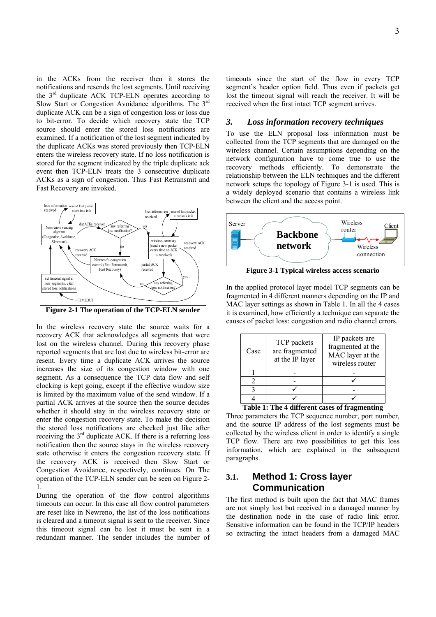in the ACKs from the receiver then it stores the notifications and resends the lost segments. Until receiving the 3rd duplicate ACK TCP-ELN operates according to Slow Start or Congestion Avoidance algorithms. The 3rd duplicate ACK can be a sign of congestion loss or loss due to bit-error. To decide which recovery state the TCP source should enter the stored loss notifications are examined. If a notification of the lost segment indicated by the duplicate ACKs was stored previously then TCP-ELN enters the wireless recovery state. If no loss notification is stored for the segment indicated by the triple duplicate ack event then TCP-ELN treats the 3 consecutive duplicate ACKs as a sign of congestion. Thus Fast Retransmit and Fast Recovery are invoked.



<span id="page-2-0"></span>**Figure 2-1 The operation of the TCP-ELN sender** 

<span id="page-2-1"></span>In the wireless recovery state the source waits for a recovery ACK that acknowledges all segments that were lost on the wireless channel. During this recovery phase reported segments that are lost due to wireless bit-error are resent. Every time a duplicate ACK arrives the source increases the size of its congestion window with one segment. As a consequence the TCP data flow and self clocking is kept going, except if the effective window size is limited by the maximum value of the send window. If a partial ACK arrives at the source then the source decides whether it should stay in the wireless recovery state or enter the congestion recovery state. To make the decision the stored loss notifications are checked just like after receiving the 3<sup>rd</sup> duplicate ACK. If there is a referring loss notification then the source stays in the wireless recovery state otherwise it enters the congestion recovery state. If the recovery ACK is received then Slow Start or Congestion Avoidance, respectively, continues. On The operation of the TCP-ELN sender can be seen on Figure 2- 1.

During the operation of the flow control algorithms timeouts can occur. In this case all flow control parameters are reset like in Newreno, the list of the loss notifications is cleared and a timeout signal is sent to the receiver. Since this timeout signal can be lost it must be sent in a redundant manner. The sender includes the number of

timeouts since the start of the flow in every TCP segment's header option field. Thus even if packets get lost the timeout signal will reach the receiver. It will be received when the first intact TCP segment arrives.

#### *3. Loss information recovery techniques*

To use the ELN proposal loss information must be collected from the TCP segments that are damaged on the wireless channel. Certain assumptions depending on the network configuration have to come true to use the recovery methods efficiently. To demonstrate the relationship between the ELN techniques and the different network setups the topology of [Figure 3-1](#page-2-0) is used. This is a widely deployed scenario that contains a wireless link between the client and the access point.



**Figure 3-1 Typical wireless access scenario**

In the applied protocol layer model TCP segments can be fragmented in 4 different manners depending on the IP and MAC layer settings as shown in [Table 1](#page-2-1). In all the 4 cases it is examined, how efficiently a technique can separate the causes of packet loss: congestion and radio channel errors.

| Case | TCP packets<br>are fragmented<br>at the IP layer | IP packets are<br>fragmented at the<br>MAC layer at the<br>wireless router |
|------|--------------------------------------------------|----------------------------------------------------------------------------|
|      |                                                  |                                                                            |
|      |                                                  |                                                                            |
|      |                                                  |                                                                            |
|      |                                                  |                                                                            |

Table 1: The 4 different cases of fragmenting

Three parameters the TCP sequence number, port number, and the source IP address of the lost segments must be collected by the wireless client in order to identify a single TCP flow. There are two possibilities to get this loss information, which are explained in the subsequent paragraphs.

## **3.1. Method 1: Cross layer Communication**

The first method is built upon the fact that MAC frames are not simply lost but received in a damaged manner by the destination node in the case of radio link error. Sensitive information can be found in the TCP/IP headers so extracting the intact headers from a damaged MAC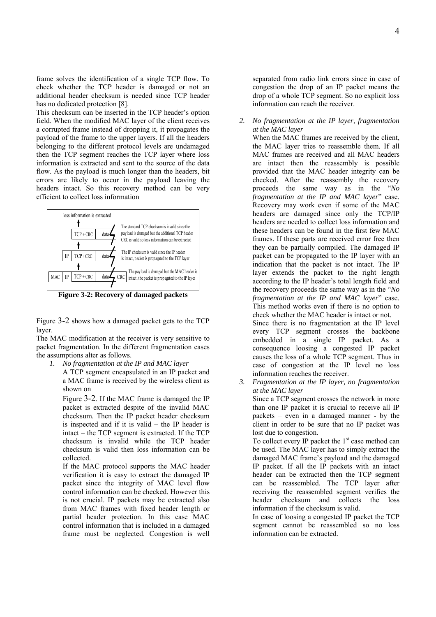frame solves the identification of a single TCP flow. To check whether the TCP header is damaged or not an additional header checksum is needed since TCP header has no dedicated protection [8].

This checksum can be inserted in the TCP header's option field. When the modified MAC layer of the client receives a corrupted frame instead of dropping it, it propagates the payload of the frame to the upper layers. If all the headers belonging to the different protocol levels are undamaged then the TCP segment reaches the TCP layer where loss information is extracted and sent to the source of the data flow. As the payload is much longer than the headers, bit errors are likely to occur in the payload leaving the headers intact. So this recovery method can be very efficient to collect loss information

<span id="page-3-0"></span>

**Figure 3-2: Recovery of damaged packets** 

[F](#page-3-0)igure 3-2 shows how a damaged packet gets to the TCP layer.

The MAC modification at the receiver is very sensitive to packet fragmentation. In the different fragmentation cases the assumptions alter as follows.

*1. No fragmentation at the IP and MAC layer* 

A TCP segment encapsulated in an IP packet and a MAC frame is received by the wireless client as shown on

Figure 3-2. If the MAC frame is damaged the IP packet is extracted despite of the invalid MAC checksum. Then the IP packet header checksum is inspected and if it is valid – the IP header is intact – the TCP segment is extracted. If the TCP checksum is invalid while the TCP header checksum is valid then loss information can be collected.

If the MAC protocol supports the MAC header verification it is easy to extract the damaged IP packet since the integrity of MAC level flow control information can be checked. However this is not crucial. IP packets may be extracted also from MAC frames with fixed header length or partial header protection. In this case MAC control information that is included in a damaged frame must be neglected. Congestion is well

separated from radio link errors since in case of congestion the drop of an IP packet means the drop of a whole TCP segment. So no explicit loss information can reach the receiver.

2. *No fragmentation at the IP layer, fragmentation at the MAC layer* 

When the MAC frames are received by the client, Since there is no fragmentation at the IP level the MAC layer tries to reassemble them. If all MAC frames are received and all MAC headers are intact then the reassembly is possible provided that the MAC header integrity can be checked. After the reassembly the recovery proceeds the same way as in the "*No fragmentation at the IP and MAC layer*" case. Recovery may work even if some of the MAC headers are damaged since only the TCP/IP headers are needed to collect loss information and these headers can be found in the first few MAC frames. If these parts are received error free then they can be partially compiled. The damaged IP packet can be propagated to the IP layer with an indication that the packet is not intact. The IP layer extends the packet to the right length according to the IP header's total length field and the recovery proceeds the same way as in the "*No fragmentation at the IP and MAC layer*" case. This method works even if there is no option to check whether the MAC header is intact or not. every TCP segment crosses the backbone embedded in a single IP packet. As a consequence loosing a congested IP packet causes the loss of a whole TCP segment. Thus in case of congestion at the IP level no loss information reaches the receiver.

*3. fragmentation Fragmentation at the IP layer, no at the MAC layer* 

Since a TCP segment crosses the network in more than one IP packet it is crucial to receive all IP packets – even in a damaged manner - by the client in order to be sure that no IP packet was lost due to congestion.

To collect every IP packet the  $1<sup>st</sup>$  case method can be used. The MAC layer has to simply extract the damaged MAC frame's payload and the damaged IP packet. If all the IP packets with an intact header can be extracted then the TCP segment can be reassembled. The TCP layer after receiving the reassembled segment verifies the header checksum and collects the loss information if the checksum is valid.

In case of loosing a congested IP packet the TCP segment cannot be reassembled so no loss information can be extracted.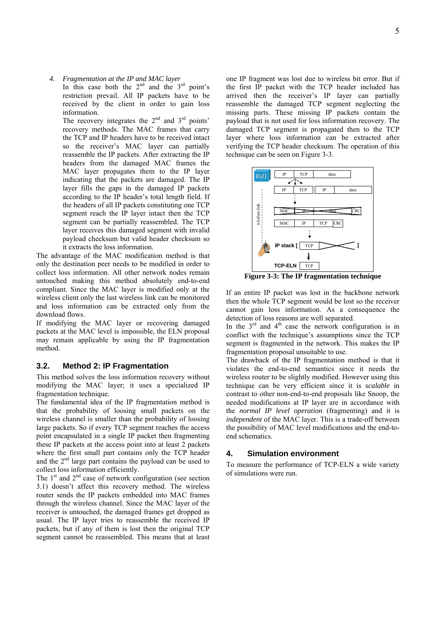- *4. Fragmentation at the IP and MAC layer* 
	- restriction prevail. All IP packets have to be received by the client in order to gain loss In this case both the  $2<sup>nd</sup>$  and the  $3<sup>rd</sup>$  point's information.

the TCP and IP headers have to be received intact The recovery integrates the  $2<sup>nd</sup>$  and  $3<sup>rd</sup>$  points' recovery methods. The MAC frames that carry so the receiver's MAC layer can partially reassemble the IP packets. After extracting the IP headers from the damaged MAC frames the MAC layer propagates them to the IP layer indicating that the packets are damaged. The IP layer fills the gaps in the damaged IP packets according to the IP header's total length field. If the headers of all IP packets constituting one TCP segment reach the IP layer intact then the TCP segment can be partially reassembled. The TCP layer receives this damaged segment with invalid payload checksum but valid header checksum so it extracts the loss information.

The adv antage of the MAC modification method is that only the destination peer needs to be modified in order to collect loss information. All other network nodes remain untouched making this method absolutely end-to-end compliant. Since the MAC layer is modified only at the wireless client only the last wireless link can be monitored and loss information can be extracted only from the download flows.

may remain applicable by using the IP fragmentation If modifying the MAC layer or recovering damaged packets at the MAC level is impossible, the ELN proposal method.

### **3.2. Method 2: IP Fragmentation**

This method solves the loss information recovery without modifying the MAC layer; it uses a specialized IP fragmentation technique.

wireless channel is smaller than the probability of loosing The fundamental idea of the IP fragmentation method is that the probability of loosing small packets on the large packets. So if every TCP segment reaches the access point encapsulated in a single IP packet then fragmenting these IP packets at the access point into at least 2 packets where the first small part contains only the TCP header and the 2nd large part contains the payload can be used to collect loss information efficiently.

router sends the IP packets embedded into MAC frames The  $1<sup>st</sup>$  and  $2<sup>nd</sup>$  case of network configuration (see section 3.1) doesn't affect this recovery method. The wireless through the wireless channel. Since the MAC layer of the receiver is untouched, the damaged frames get dropped as usual. The IP layer tries to reassemble the received IP packets, but if any of them is lost then the original TCP segment cannot be reassembled. This means that at least

one IP fragment was lost due to wireless bit error. But if the first IP packet with the TCP header included has arrived then the receiver's IP layer can partially reassemble the damaged TCP segment neglecting the missing parts. These missing IP packets contain the payload that is not used for loss information recovery. The damaged TCP segment is propagated then to the TCP layer where loss information can be extracted after verifying the TCP header checksum. The operation of this technique can be seen on Figure 3-3.



**Figure 3-3: The IP fragmentation technique** 

If an entire IP packet was lost in the backbone network then the whole TCP segment would be lost so the receiver cannot gain loss information. As a consequence the detection of loss reasons are well separated.

In the  $3<sup>rd</sup>$  and  $4<sup>th</sup>$  case the network configuration is in conflict with the technique's assumptions since the TCP segment is fragmented in the network. This makes the IP fragmentation proposal unsuitable to use.

The drawback of the IP fragmentation method is that it violates the end-to-end semantics since it needs the wireless router to be slightly modified. However using this technique can be very efficient since it is *scalable* in contrast to other non-end-to-end proposals like Snoop, the needed modifications at IP layer are in accordance with the *normal IP level operation* (fragmenting) and it is *independent* of the MAC layer. This is a trade-off between the possibility of MAC level modifications and the end-toend schematics.

### **4. Simulation environment**

To measure the performance of TCP-ELN a wide variety of simulations were run.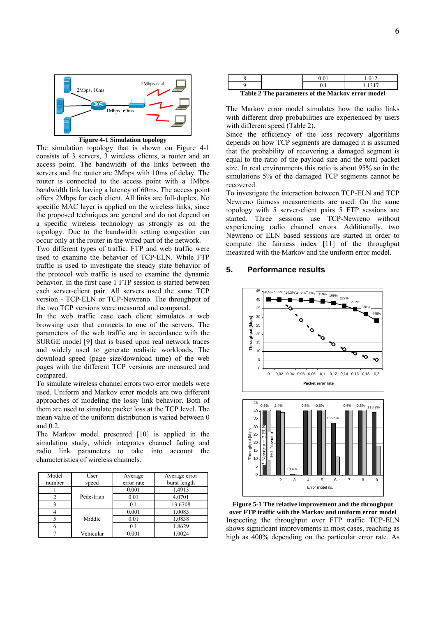

### **Figure 4-1 Simulation topology**

The simulation topology that is shown on Figure 4-1 consists of 3 servers, 3 wireless clients, a router and an access point. The bandwidth of the links between the servers and the router are 2Mbps with 10ms of delay. The router is connected to the access point with a 1Mbps bandwidth link having a latency of 60ms. The access point offers 2Mbps for each client. All links are full-duplex. No specific MAC layer is applied on the wireless links, since the proposed techniques are general and do not depend on a specific wireless technology as strongly as on the topology. Due to the bandwidth setting congestion can occur only at the router in the wired part of the network.

Two different types of traffic: FTP and web traffic were used to examine the behavior of TCP-ELN. While FTP traffic is used to investigate the steady state behavior of the protocol web traffic is used to examine the dynamic behavior. In the first case 1 FTP session is started between each server-client pair. All servers used the same TCP version - TCP-ELN or TCP-Newreno. The throughput of the two TCP versions were measured and compared.

In the web traffic case each client simulates a web browsing user that connects to one of the servers. The parameters of the web traffic are in accordance with the SURGE model [9] that is based upon real network traces and widely used to generate realistic workloads. The download speed (page size/download time) of the web pages with the different TCP versions are measured and compared.

To simulate wireless channel errors two error models were used. Uniform and Markov error models are two different approaches of modeling the lossy link behavior. Both of them are used to simulate packet loss at the TCP level. The mean value of the uniform distribution is varied between 0 and 0.2.

The Markov model presented [10] is applied in the simulation study, which integrates channel fading and radio link parameters to take into account the characteristics of wireless channels.

| Model<br>number | User<br>speed | Average<br>error rate | Average error<br>burst length |
|-----------------|---------------|-----------------------|-------------------------------|
|                 |               | 0.001                 | 1.4913                        |
|                 | Pedestrian    | 0.01                  | 4.0701                        |
|                 |               | 0.1                   | 13.6708                       |
|                 |               | 0.001                 | 1.0083                        |
|                 | Middle        | 0.01                  | 1.0838                        |
|                 |               | 0.1                   | 1.8629                        |
|                 | Vehicular     | 0.001                 | 1.0024                        |

|                   |                      | $2.4 - 1.0$ |
|-------------------|----------------------|-------------|
| <b>CONTRACTOR</b> | $\sim$<br>$^{\circ}$ | .<br>. .    |

**Table 2 The parameters of the Markov error model** 

The Markov error model simulates how the radio links with different drop probabilities are experienced by users with different speed (Table 2).

Since the efficiency of the loss recovery algorithms depends on how TCP segments are damaged it is assumed that the probability of recovering a damaged segment is equal to the ratio of the payload size and the total packet size. In real environments this ratio is about 95% so in the simulations 5% of the damaged TCP segments cannot be recovered.

To investigate the interaction between TCP-ELN and TCP Newreno fairness measurements are used. On the same topology with 5 server-client pairs 5 FTP sessions are started. Three sessions use TCP-Newreno without experiencing radio channel errors. Additionally, two Newreno or ELN based sessions are started in order to compute the fairness index [11] of the throughput measured with the Markov and the uniform error model.

### **5. Performance results**



**Figure 5-1 The relative improvement and the throughput over FTP traffic with the Markov and uniform error model**  Inspecting the throughput over FTP traffic TCP-ELN shows significant improvements in most cases, reaching as high as 400% depending on the particular error rate. As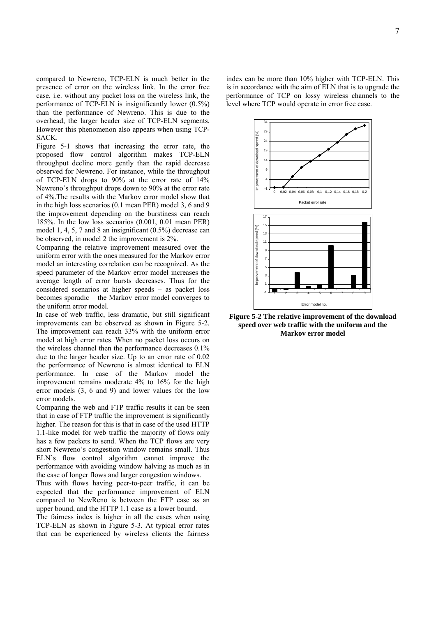compared to Newreno, TCP-ELN is much better in the presence of error on the wireless link. In the error free case, i.e. without any packet loss on the wireless link, the performance of TCP-ELN is insignificantly lower (0.5%) than the performance of Newreno. This is due to the overhead, the larger header size of TCP-ELN segments. However this phenomenon also appears when using TCP-SACK.

Figure 5-1 shows that increasing the error rate, the proposed flow control algorithm makes TCP-ELN throughput decline more gently than the rapid decrease observed for Newreno. For instance, while the throughput of TCP-ELN drops to 90% at the error rate of 14% Newreno's throughput drops down to 90% at the error rate of 4%.The results with the Markov error model show that in the high loss scenarios (0.1 mean PER) model 3, 6 and 9 the improvement depending on the burstiness can reach 185%. In the low loss scenarios (0.001, 0.01 mean PER) model 1, 4, 5, 7 and 8 an insignificant (0.5%) decrease can be observed, in model 2 the improvement is 2%.

Comparing the relative improvement measured over the uniform error with the ones measured for the Markov error model an interesting correlation can be recognized. As the speed parameter of the Markov error model increases the average length of error bursts decreases. Thus for the considered scenarios at higher speeds – as packet loss becomes sporadic – the Markov error model converges to the uniform error model.

In case of web traffic, less dramatic, but still significant improvements can be observed as shown in Figure 5-2. The improvement can reach 33% with the uniform error model at high error rates. When no packet loss occurs on the wireless channel then the performance decreases 0.1% due to the larger header size. Up to an error rate of 0.02 the performance of Newreno is almost identical to ELN performance. In case of the Markov model the improvement remains moderate 4% to 16% for the high error models (3, 6 and 9) and lower values for the low error models.

Comparing the web and FTP traffic results it can be seen that in case of FTP traffic the improvement is significantly higher. The reason for this is that in case of the used HTTP 1.1-like model for web traffic the majority of flows only has a few packets to send. When the TCP flows are very short Newreno's congestion window remains small. Thus ELN's flow control algorithm cannot improve the performance with avoiding window halving as much as in the case of longer flows and larger congestion windows.

Thus with flows having peer-to-peer traffic, it can be expected that the performance improvement of ELN compared to NewReno is between the FTP case as an upper bound, and the HTTP 1.1 case as a lower bound.

The fairness index is higher in all the cases when using TCP-ELN as shown in Figure 5-3. At typical error rates that can be experienced by wireless clients the fairness

index can be more than 10% higher with TCP-ELN. This is in accordance with the aim of ELN that is to upgrade the performance of TCP on lossy wireless channels to the level where TCP would operate in error free case.



**Figure 5-2 The relative improvement of the download speed over web traffic with the uniform and the Markov error model**